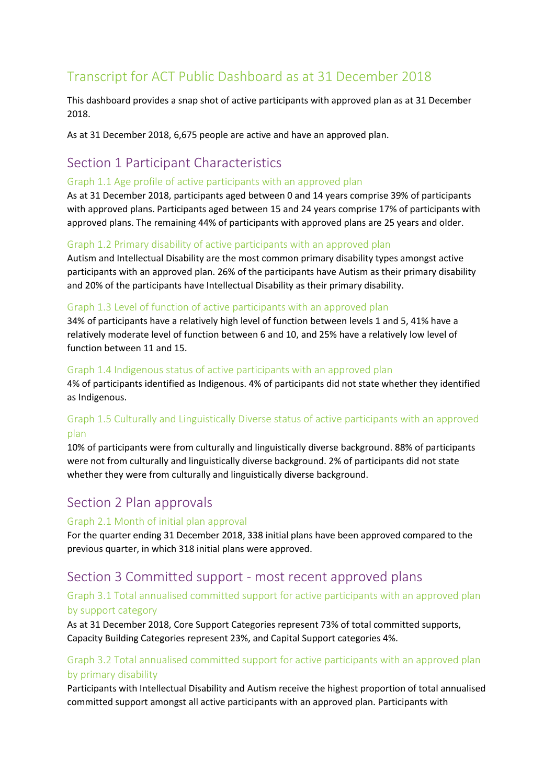# Transcript for ACT Public Dashboard as at 31 December 2018

This dashboard provides a snap shot of active participants with approved plan as at 31 December 2018.

As at 31 December 2018, 6,675 people are active and have an approved plan.

# Section 1 Participant Characteristics

#### Graph 1.1 Age profile of active participants with an approved plan

As at 31 December 2018, participants aged between 0 and 14 years comprise 39% of participants with approved plans. Participants aged between 15 and 24 years comprise 17% of participants with approved plans. The remaining 44% of participants with approved plans are 25 years and older.

#### Graph 1.2 Primary disability of active participants with an approved plan

Autism and Intellectual Disability are the most common primary disability types amongst active participants with an approved plan. 26% of the participants have Autism as their primary disability and 20% of the participants have Intellectual Disability as their primary disability.

#### Graph 1.3 Level of function of active participants with an approved plan

34% of participants have a relatively high level of function between levels 1 and 5, 41% have a relatively moderate level of function between 6 and 10, and 25% have a relatively low level of function between 11 and 15.

#### Graph 1.4 Indigenous status of active participants with an approved plan

4% of participants identified as Indigenous. 4% of participants did not state whether they identified as Indigenous.

## Graph 1.5 Culturally and Linguistically Diverse status of active participants with an approved plan

10% of participants were from culturally and linguistically diverse background. 88% of participants were not from culturally and linguistically diverse background. 2% of participants did not state whether they were from culturally and linguistically diverse background.

# Section 2 Plan approvals

#### Graph 2.1 Month of initial plan approval

For the quarter ending 31 December 2018, 338 initial plans have been approved compared to the previous quarter, in which 318 initial plans were approved.

# Section 3 Committed support - most recent approved plans

#### Graph 3.1 Total annualised committed support for active participants with an approved plan by support category

As at 31 December 2018, Core Support Categories represent 73% of total committed supports, Capacity Building Categories represent 23%, and Capital Support categories 4%.

## Graph 3.2 Total annualised committed support for active participants with an approved plan by primary disability

Participants with Intellectual Disability and Autism receive the highest proportion of total annualised committed support amongst all active participants with an approved plan. Participants with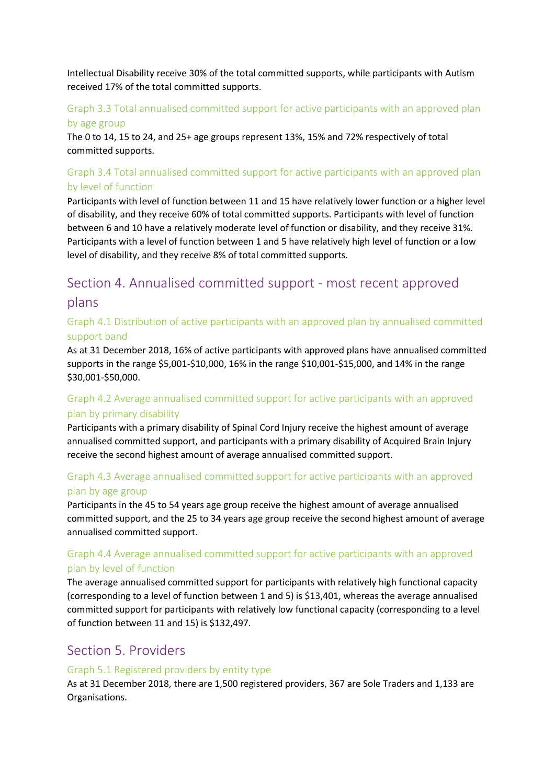Intellectual Disability receive 30% of the total committed supports, while participants with Autism received 17% of the total committed supports.

## Graph 3.3 Total annualised committed support for active participants with an approved plan

#### by age group

The 0 to 14, 15 to 24, and 25+ age groups represent 13%, 15% and 72% respectively of total committed supports.

## Graph 3.4 Total annualised committed support for active participants with an approved plan by level of function

Participants with level of function between 11 and 15 have relatively lower function or a higher level of disability, and they receive 60% of total committed supports. Participants with level of function between 6 and 10 have a relatively moderate level of function or disability, and they receive 31%. Participants with a level of function between 1 and 5 have relatively high level of function or a low level of disability, and they receive 8% of total committed supports.

# Section 4. Annualised committed support - most recent approved plans

## Graph 4.1 Distribution of active participants with an approved plan by annualised committed support band

As at 31 December 2018, 16% of active participants with approved plans have annualised committed supports in the range \$5,001-\$10,000, 16% in the range \$10,001-\$15,000, and 14% in the range \$30,001-\$50,000.

## Graph 4.2 Average annualised committed support for active participants with an approved plan by primary disability

Participants with a primary disability of Spinal Cord Injury receive the highest amount of average annualised committed support, and participants with a primary disability of Acquired Brain Injury receive the second highest amount of average annualised committed support.

## Graph 4.3 Average annualised committed support for active participants with an approved plan by age group

Participants in the 45 to 54 years age group receive the highest amount of average annualised committed support, and the 25 to 34 years age group receive the second highest amount of average annualised committed support.

## Graph 4.4 Average annualised committed support for active participants with an approved plan by level of function

The average annualised committed support for participants with relatively high functional capacity (corresponding to a level of function between 1 and 5) is \$13,401, whereas the average annualised committed support for participants with relatively low functional capacity (corresponding to a level of function between 11 and 15) is \$132,497.

# Section 5. Providers

#### Graph 5.1 Registered providers by entity type

As at 31 December 2018, there are 1,500 registered providers, 367 are Sole Traders and 1,133 are Organisations.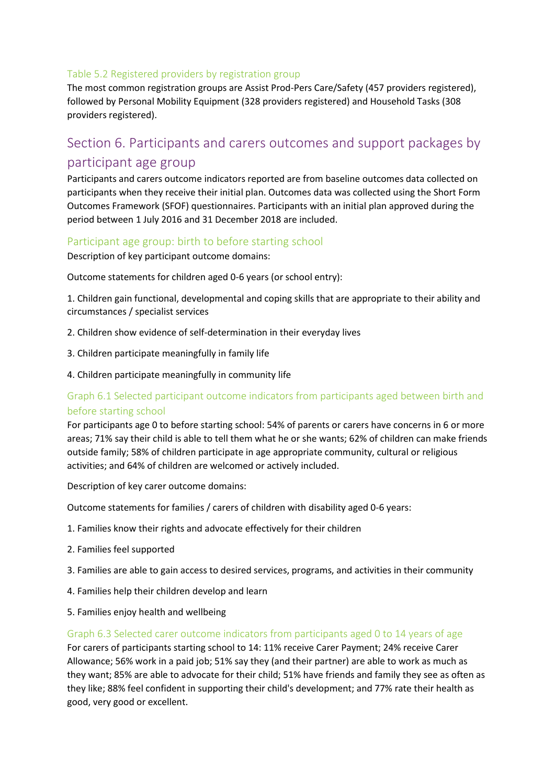#### Table 5.2 Registered providers by registration group

The most common registration groups are Assist Prod-Pers Care/Safety (457 providers registered), followed by Personal Mobility Equipment (328 providers registered) and Household Tasks (308 providers registered).

# Section 6. Participants and carers outcomes and support packages by participant age group

Participants and carers outcome indicators reported are from baseline outcomes data collected on participants when they receive their initial plan. Outcomes data was collected using the Short Form Outcomes Framework (SFOF) questionnaires. Participants with an initial plan approved during the period between 1 July 2016 and 31 December 2018 are included.

#### Participant age group: birth to before starting school

Description of key participant outcome domains:

Outcome statements for children aged 0-6 years (or school entry):

1. Children gain functional, developmental and coping skills that are appropriate to their ability and circumstances / specialist services

- 2. Children show evidence of self-determination in their everyday lives
- 3. Children participate meaningfully in family life
- 4. Children participate meaningfully in community life

#### Graph 6.1 Selected participant outcome indicators from participants aged between birth and before starting school

For participants age 0 to before starting school: 54% of parents or carers have concerns in 6 or more areas; 71% say their child is able to tell them what he or she wants; 62% of children can make friends outside family; 58% of children participate in age appropriate community, cultural or religious activities; and 64% of children are welcomed or actively included.

Description of key carer outcome domains:

Outcome statements for families / carers of children with disability aged 0-6 years:

- 1. Families know their rights and advocate effectively for their children
- 2. Families feel supported
- 3. Families are able to gain access to desired services, programs, and activities in their community
- 4. Families help their children develop and learn
- 5. Families enjoy health and wellbeing

#### Graph 6.3 Selected carer outcome indicators from participants aged 0 to 14 years of age

For carers of participants starting school to 14: 11% receive Carer Payment; 24% receive Carer Allowance; 56% work in a paid job; 51% say they (and their partner) are able to work as much as they want; 85% are able to advocate for their child; 51% have friends and family they see as often as they like; 88% feel confident in supporting their child's development; and 77% rate their health as good, very good or excellent.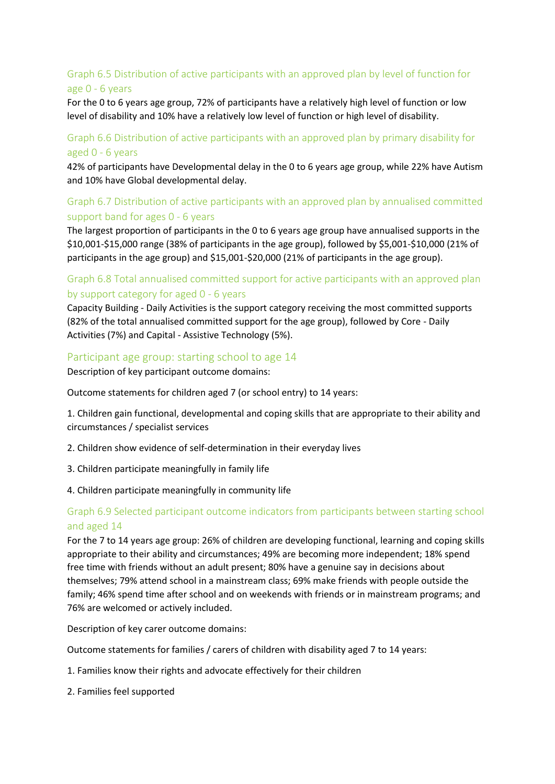## Graph 6.5 Distribution of active participants with an approved plan by level of function for age 0 - 6 years

For the 0 to 6 years age group, 72% of participants have a relatively high level of function or low level of disability and 10% have a relatively low level of function or high level of disability.

#### Graph 6.6 Distribution of active participants with an approved plan by primary disability for aged 0 - 6 years

42% of participants have Developmental delay in the 0 to 6 years age group, while 22% have Autism and 10% have Global developmental delay.

## Graph 6.7 Distribution of active participants with an approved plan by annualised committed support band for ages 0 - 6 years

The largest proportion of participants in the 0 to 6 years age group have annualised supports in the \$10,001-\$15,000 range (38% of participants in the age group), followed by \$5,001-\$10,000 (21% of participants in the age group) and \$15,001-\$20,000 (21% of participants in the age group).

#### Graph 6.8 Total annualised committed support for active participants with an approved plan by support category for aged 0 - 6 years

Capacity Building - Daily Activities is the support category receiving the most committed supports (82% of the total annualised committed support for the age group), followed by Core - Daily Activities (7%) and Capital - Assistive Technology (5%).

#### Participant age group: starting school to age 14

Description of key participant outcome domains:

Outcome statements for children aged 7 (or school entry) to 14 years:

1. Children gain functional, developmental and coping skills that are appropriate to their ability and circumstances / specialist services

- 2. Children show evidence of self-determination in their everyday lives
- 3. Children participate meaningfully in family life
- 4. Children participate meaningfully in community life

#### Graph 6.9 Selected participant outcome indicators from participants between starting school and aged 14

For the 7 to 14 years age group: 26% of children are developing functional, learning and coping skills appropriate to their ability and circumstances; 49% are becoming more independent; 18% spend free time with friends without an adult present; 80% have a genuine say in decisions about themselves; 79% attend school in a mainstream class; 69% make friends with people outside the family; 46% spend time after school and on weekends with friends or in mainstream programs; and 76% are welcomed or actively included.

Description of key carer outcome domains:

Outcome statements for families / carers of children with disability aged 7 to 14 years:

- 1. Families know their rights and advocate effectively for their children
- 2. Families feel supported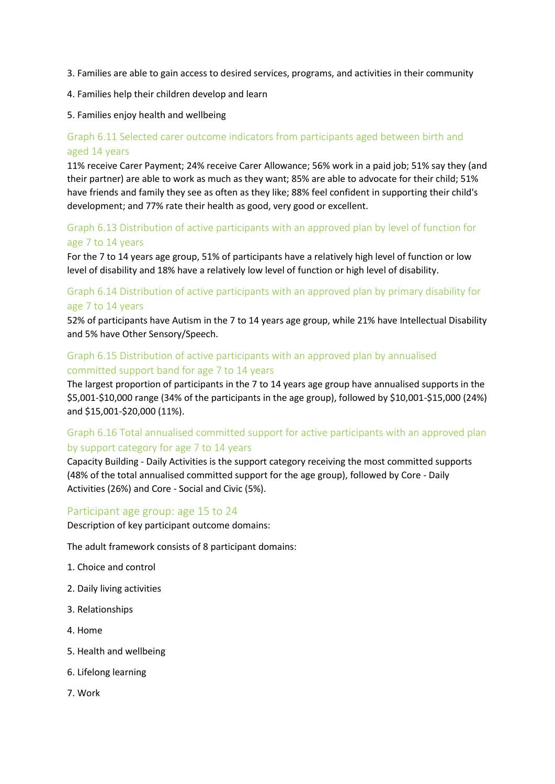- 3. Families are able to gain access to desired services, programs, and activities in their community
- 4. Families help their children develop and learn

#### 5. Families enjoy health and wellbeing

## Graph 6.11 Selected carer outcome indicators from participants aged between birth and aged 14 years

11% receive Carer Payment; 24% receive Carer Allowance; 56% work in a paid job; 51% say they (and their partner) are able to work as much as they want; 85% are able to advocate for their child; 51% have friends and family they see as often as they like; 88% feel confident in supporting their child's development; and 77% rate their health as good, very good or excellent.

#### Graph 6.13 Distribution of active participants with an approved plan by level of function for age 7 to 14 years

For the 7 to 14 years age group, 51% of participants have a relatively high level of function or low level of disability and 18% have a relatively low level of function or high level of disability.

## Graph 6.14 Distribution of active participants with an approved plan by primary disability for age 7 to 14 years

52% of participants have Autism in the 7 to 14 years age group, while 21% have Intellectual Disability and 5% have Other Sensory/Speech.

#### Graph 6.15 Distribution of active participants with an approved plan by annualised committed support band for age 7 to 14 years

The largest proportion of participants in the 7 to 14 years age group have annualised supports in the \$5,001-\$10,000 range (34% of the participants in the age group), followed by \$10,001-\$15,000 (24%) and \$15,001-\$20,000 (11%).

## Graph 6.16 Total annualised committed support for active participants with an approved plan by support category for age 7 to 14 years

Capacity Building - Daily Activities is the support category receiving the most committed supports (48% of the total annualised committed support for the age group), followed by Core - Daily Activities (26%) and Core - Social and Civic (5%).

#### Participant age group: age 15 to 24

Description of key participant outcome domains:

The adult framework consists of 8 participant domains:

- 1. Choice and control
- 2. Daily living activities
- 3. Relationships
- 4. Home
- 5. Health and wellbeing
- 6. Lifelong learning
- 7. Work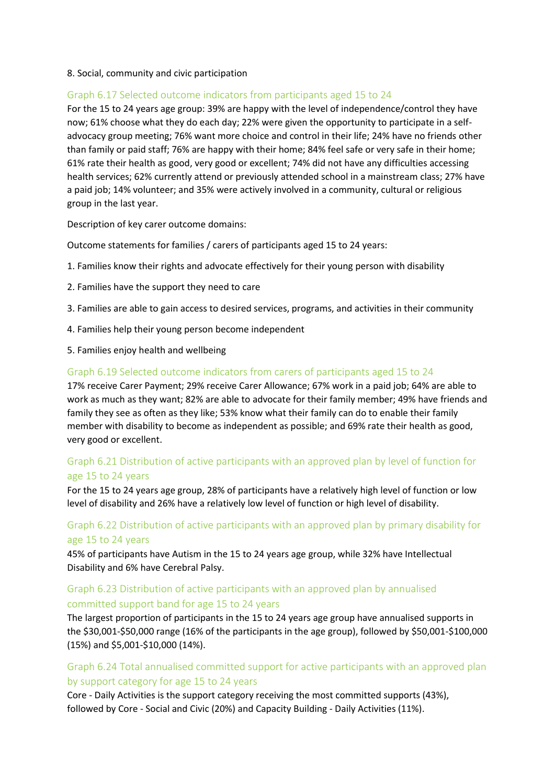#### 8. Social, community and civic participation

#### Graph 6.17 Selected outcome indicators from participants aged 15 to 24

For the 15 to 24 years age group: 39% are happy with the level of independence/control they have now; 61% choose what they do each day; 22% were given the opportunity to participate in a selfadvocacy group meeting; 76% want more choice and control in their life; 24% have no friends other than family or paid staff; 76% are happy with their home; 84% feel safe or very safe in their home; 61% rate their health as good, very good or excellent; 74% did not have any difficulties accessing health services; 62% currently attend or previously attended school in a mainstream class; 27% have a paid job; 14% volunteer; and 35% were actively involved in a community, cultural or religious group in the last year.

Description of key carer outcome domains:

Outcome statements for families / carers of participants aged 15 to 24 years:

- 1. Families know their rights and advocate effectively for their young person with disability
- 2. Families have the support they need to care
- 3. Families are able to gain access to desired services, programs, and activities in their community
- 4. Families help their young person become independent
- 5. Families enjoy health and wellbeing

#### Graph 6.19 Selected outcome indicators from carers of participants aged 15 to 24

17% receive Carer Payment; 29% receive Carer Allowance; 67% work in a paid job; 64% are able to work as much as they want; 82% are able to advocate for their family member; 49% have friends and family they see as often as they like; 53% know what their family can do to enable their family member with disability to become as independent as possible; and 69% rate their health as good, very good or excellent.

#### Graph 6.21 Distribution of active participants with an approved plan by level of function for age 15 to 24 years

For the 15 to 24 years age group, 28% of participants have a relatively high level of function or low level of disability and 26% have a relatively low level of function or high level of disability.

#### Graph 6.22 Distribution of active participants with an approved plan by primary disability for age 15 to 24 years

45% of participants have Autism in the 15 to 24 years age group, while 32% have Intellectual Disability and 6% have Cerebral Palsy.

#### Graph 6.23 Distribution of active participants with an approved plan by annualised committed support band for age 15 to 24 years

The largest proportion of participants in the 15 to 24 years age group have annualised supports in the \$30,001-\$50,000 range (16% of the participants in the age group), followed by \$50,001-\$100,000 (15%) and \$5,001-\$10,000 (14%).

#### Graph 6.24 Total annualised committed support for active participants with an approved plan by support category for age 15 to 24 years

Core - Daily Activities is the support category receiving the most committed supports (43%), followed by Core - Social and Civic (20%) and Capacity Building - Daily Activities (11%).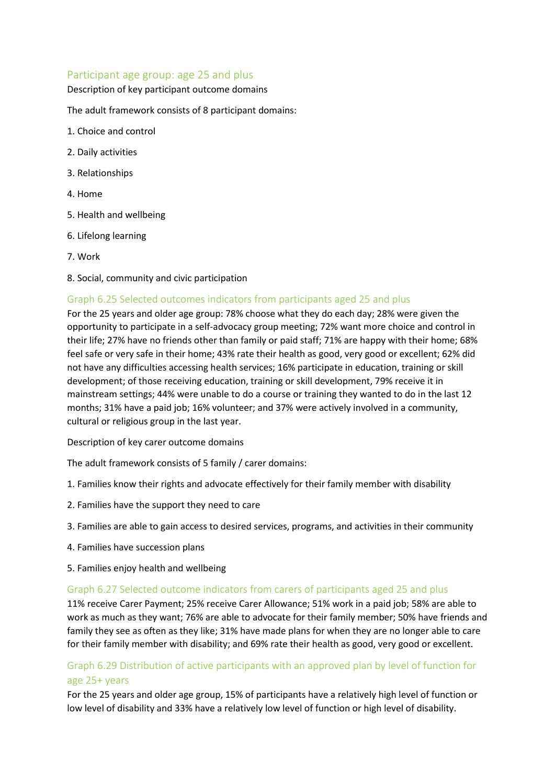#### Participant age group: age 25 and plus

#### Description of key participant outcome domains

The adult framework consists of 8 participant domains:

- 1. Choice and control
- 2. Daily activities
- 3. Relationships
- 4. Home
- 5. Health and wellbeing
- 6. Lifelong learning
- 7. Work
- 8. Social, community and civic participation

#### Graph 6.25 Selected outcomes indicators from participants aged 25 and plus

For the 25 years and older age group: 78% choose what they do each day; 28% were given the opportunity to participate in a self-advocacy group meeting; 72% want more choice and control in their life; 27% have no friends other than family or paid staff; 71% are happy with their home; 68% feel safe or very safe in their home; 43% rate their health as good, very good or excellent; 62% did not have any difficulties accessing health services; 16% participate in education, training or skill development; of those receiving education, training or skill development, 79% receive it in mainstream settings; 44% were unable to do a course or training they wanted to do in the last 12 months; 31% have a paid job; 16% volunteer; and 37% were actively involved in a community, cultural or religious group in the last year.

Description of key carer outcome domains

The adult framework consists of 5 family / carer domains:

- 1. Families know their rights and advocate effectively for their family member with disability
- 2. Families have the support they need to care
- 3. Families are able to gain access to desired services, programs, and activities in their community
- 4. Families have succession plans
- 5. Families enjoy health and wellbeing

#### Graph 6.27 Selected outcome indicators from carers of participants aged 25 and plus

11% receive Carer Payment; 25% receive Carer Allowance; 51% work in a paid job; 58% are able to work as much as they want; 76% are able to advocate for their family member; 50% have friends and family they see as often as they like; 31% have made plans for when they are no longer able to care for their family member with disability; and 69% rate their health as good, very good or excellent.

#### Graph 6.29 Distribution of active participants with an approved plan by level of function for age 25+ years

For the 25 years and older age group, 15% of participants have a relatively high level of function or low level of disability and 33% have a relatively low level of function or high level of disability.